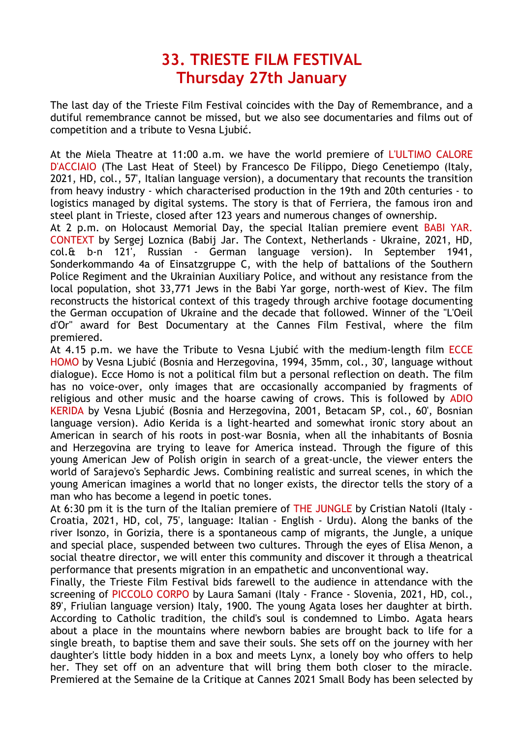## **33. TRIESTE FILM FESTIVAL Thursday 27th January**

The last day of the Trieste Film Festival coincides with the Day of Remembrance, and a dutiful remembrance cannot be missed, but we also see documentaries and films out of competition and a tribute to Vesna Ljubić.

At the Miela Theatre at 11:00 a.m. we have the world premiere of L'ULTIMO CALORE D'ACCIAIO (The Last Heat of Steel) by Francesco De Filippo, Diego Cenetiempo (Italy, 2021, HD, col., 57', Italian language version), a documentary that recounts the transition from heavy industry - which characterised production in the 19th and 20th centuries - to logistics managed by digital systems. The story is that of Ferriera, the famous iron and steel plant in Trieste, closed after 123 years and numerous changes of ownership.

At 2 p.m. on Holocaust Memorial Day, the special Italian premiere event BABI YAR. CONTEXT by Sergej Loznica (Babij Jar. The Context, Netherlands - Ukraine, 2021, HD, col.& b-n 121', Russian - German language version). In September 1941, Sonderkommando 4a of Einsatzgruppe C, with the help of battalions of the Southern Police Regiment and the Ukrainian Auxiliary Police, and without any resistance from the local population, shot 33,771 Jews in the Babi Yar gorge, north-west of Kiev. The film reconstructs the historical context of this tragedy through archive footage documenting the German occupation of Ukraine and the decade that followed. Winner of the "L'Oeil d'Or" award for Best Documentary at the Cannes Film Festival, where the film premiered.

At 4.15 p.m. we have the Tribute to Vesna Ljubić with the medium-length film ECCE HOMO by Vesna Ljubić (Bosnia and Herzegovina, 1994, 35mm, col., 30', language without dialogue). Ecce Homo is not a political film but a personal reflection on death. The film has no voice-over, only images that are occasionally accompanied by fragments of religious and other music and the hoarse cawing of crows. This is followed by ADIO KERIDA by Vesna Ljubić (Bosnia and Herzegovina, 2001, Betacam SP, col., 60', Bosnian language version). Adio Kerida is a light-hearted and somewhat ironic story about an American in search of his roots in post-war Bosnia, when all the inhabitants of Bosnia and Herzegovina are trying to leave for America instead. Through the figure of this young American Jew of Polish origin in search of a great-uncle, the viewer enters the world of Sarajevo's Sephardic Jews. Combining realistic and surreal scenes, in which the young American imagines a world that no longer exists, the director tells the story of a man who has become a legend in poetic tones.

At 6:30 pm it is the turn of the Italian premiere of THE JUNGLE by Cristian Natoli (Italy -Croatia, 2021, HD, col, 75', language: Italian - English - Urdu). Along the banks of the river Isonzo, in Gorizia, there is a spontaneous camp of migrants, the Jungle, a unique and special place, suspended between two cultures. Through the eyes of Elisa Menon, a social theatre director, we will enter this community and discover it through a theatrical performance that presents migration in an empathetic and unconventional way.

Finally, the Trieste Film Festival bids farewell to the audience in attendance with the screening of PICCOLO CORPO by Laura Samani (Italy - France - Slovenia, 2021, HD, col., 89', Friulian language version) Italy, 1900. The young Agata loses her daughter at birth. According to Catholic tradition, the child's soul is condemned to Limbo. Agata hears about a place in the mountains where newborn babies are brought back to life for a single breath, to baptise them and save their souls. She sets off on the journey with her daughter's little body hidden in a box and meets Lynx, a lonely boy who offers to help her. They set off on an adventure that will bring them both closer to the miracle. Premiered at the Semaine de la Critique at Cannes 2021 Small Body has been selected by